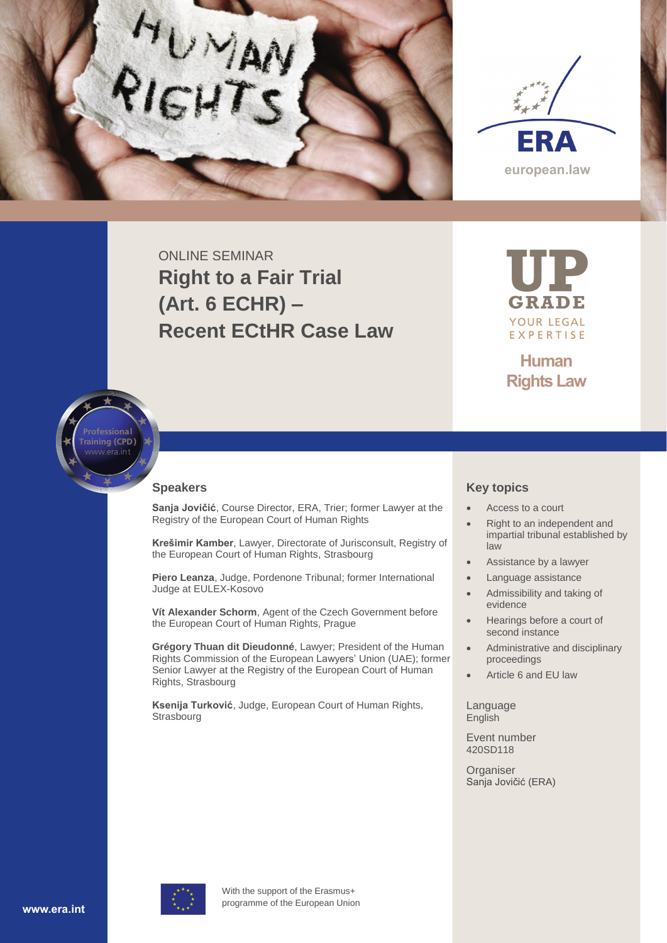



ONLINE SEMINAR **Right to a Fair Trial (Art. 6 ECHR) – Recent ECtHR Case Law**

GRADE YOUR LEGAL EXPERTISE

**Human Rights Law**



## **Speakers**

**Sanja Jovičić**, Course Director, ERA, Trier; former Lawyer at the Registry of the European Court of Human Rights

**Krešimir Kamber**, Lawyer, Directorate of Jurisconsult, Registry of the European Court of Human Rights, Strasbourg

**Piero Leanza**, Judge, Pordenone Tribunal; former International Judge at EULEX-Kosovo

**Vít Alexander Schorm**, Agent of the Czech Government before the European Court of Human Rights, Prague

**Grégory Thuan dit Dieudonné**, Lawyer; President of the Human Rights Commission of the European Lawyers' Union (UAE); former Senior Lawyer at the Registry of the European Court of Human Rights, Strasbourg

**Ksenija Turković**, Judge, European Court of Human Rights, Strasbourg

## **Key topics**

- Access to a court
- Right to an independent and impartial tribunal established by law
- Assistance by a lawyer
- Language assistance
- Admissibility and taking of evidence
- Hearings before a court of second instance
- Administrative and disciplinary proceedings
- Article 6 and EU law

Language English

Event number 420SD118

**Organiser** Sanja Jovičić (ERA)



With the support of the Erasmus+ programme of the European Union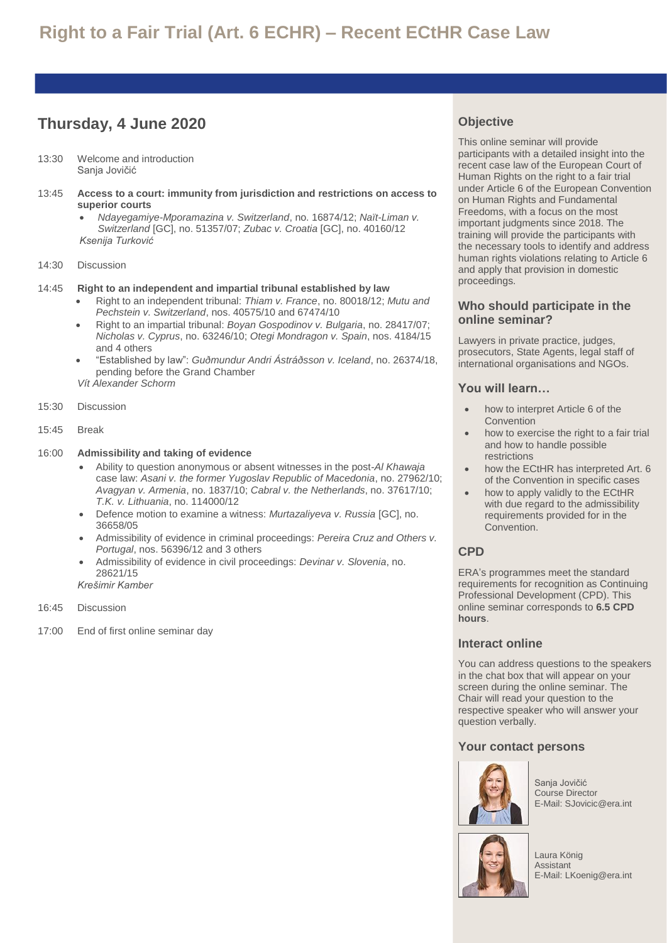# **Thursday, 4 June 2020**

- 13:30 Welcome and introduction Sanja Jovičić
- 13:45 **Access to a court: immunity from jurisdiction and restrictions on access to superior courts**
	- *Ndayegamiye-Mporamazina v. Switzerland*, no. 16874/12; *Naït-Liman v. Switzerland* [GC], no. 51357/07; *Zubac v. Croatia* [GC], no. 40160/12 *Ksenija Turković*
- 14:30 Discussion

#### 14:45 **Right to an independent and impartial tribunal established by law**

- Right to an independent tribunal: *Thiam v. France*, no. 80018/12; *Mutu and Pechstein v. Switzerland*, nos. 40575/10 and 67474/10
- Right to an impartial tribunal: *Boyan Gospodinov v. Bulgaria*, no. 28417/07; *Nicholas v. Cyprus*, no. 63246/10; *Otegi Mondragon v. Spain*, nos. 4184/15 and 4 others
- "Established by law": *Guðmundur Andri Ástráðsson v. Iceland*, no. 26374/18, pending before the Grand Chamber
- *Vít Alexander Schorm*
- 15:30 Discussion
- 15:45 Break

#### 16:00 **Admissibility and taking of evidence**

- Ability to question anonymous or absent witnesses in the post-*Al Khawaja* case law: *Asani v. the former Yugoslav Republic of Macedonia*, no. 27962/10; *Avagyan v. Armenia*, no. 1837/10; *Cabral v. the Netherlands*, no. 37617/10; *T.K. v. Lithuania*, no. 114000/12
- Defence motion to examine a witness: *Murtazaliyeva v. Russia* [GC], no. 36658/05
- Admissibility of evidence in criminal proceedings: *Pereira Cruz and Others v. Portugal*, nos. 56396/12 and 3 others
- Admissibility of evidence in civil proceedings: *Devinar v. Slovenia*, no. 28621/15 *Krešimir Kamber*
- 
- 16:45 Discussion
- 17:00 End of first online seminar day

## **Objective**

This online seminar will provide participants with a detailed insight into the recent case law of the European Court of Human Rights on the right to a fair trial under Article 6 of the European Convention on Human Rights and Fundamental Freedoms, with a focus on the most important judgments since 2018. The training will provide the participants with the necessary tools to identify and address human rights violations relating to Article 6 and apply that provision in domestic proceedings.

## **Who should participate in the online seminar?**

Lawyers in private practice, judges, prosecutors, State Agents, legal staff of international organisations and NGOs.

## **You will learn…**

- how to interpret Article 6 of the Convention
- how to exercise the right to a fair trial and how to handle possible restrictions
- how the ECtHR has interpreted Art. 6 of the Convention in specific cases
- how to apply validly to the ECtHR with due regard to the admissibility requirements provided for in the Convention.

## **CPD**

ERA's programmes meet the standard requirements for recognition as Continuing Professional Development (CPD). This online seminar corresponds to **6.5 CPD hours**.

## **Interact online**

You can address questions to the speakers in the chat box that will appear on your screen during the online seminar. The Chair will read your question to the respective speaker who will answer your question verbally.

## **Your contact persons**



Sanja Jovičić Course Director E-Mail: SJovicic@era.int



Laura König Assistant E-Mail: LKoenig@era.int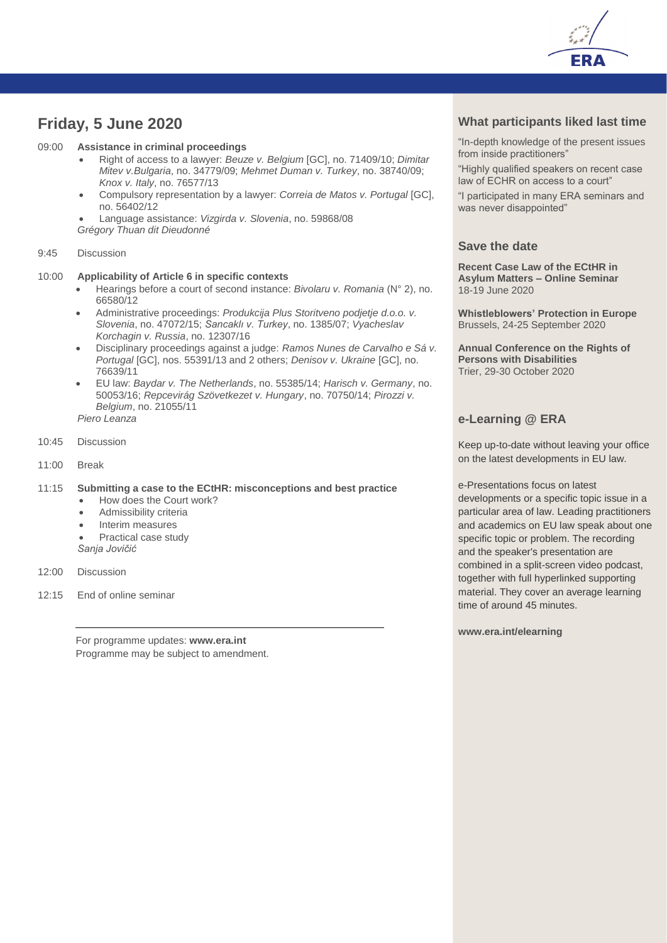

## **Friday, 5 June 2020**

#### 09:00 **Assistance in criminal proceedings**

- Right of access to a lawyer: *Beuze v. Belgium* [GC], no. 71409/10; *Dimitar Mitev v.Bulgaria*, no. 34779/09; *Mehmet Duman v. Turkey*, no. 38740/09; *Knox v. Italy*, no. 76577/13
- Compulsory representation by a lawyer: *Correia de Matos v. Portugal* [GC], no. 56402/12

• Language assistance: *Vizgirda v. Slovenia*, no. 59868/08

*Grégory Thuan dit Dieudonné*

#### 9:45 Discussion

#### 10:00 **Applicability of Article 6 in specific contexts**

- Hearings before a court of second instance: *Bivolaru v. Romania* (N° 2), no. 66580/12
- Administrative proceedings: *Produkcija Plus Storitveno podjetje d.o.o. v. Slovenia*, no. 47072/15; *Sancaklı v. Turkey*, no. 1385/07; *Vyacheslav Korchagin v. Russia*, no. 12307/16
- Disciplinary proceedings against a judge: *Ramos Nunes de Carvalho e Sá v. Portugal* [GC], nos. 55391/13 and 2 others; *Denisov v. Ukraine* [GC], no. 76639/11
- EU law: *Baydar v. The Netherlands*, no. 55385/14; *Harisch v. Germany*, no. 50053/16; *Repcevirág Szövetkezet v. Hungary*, no. 70750/14; *Pirozzi v. Belgium*, no. 21055/11 *Piero Leanza*
- 10:45 Discussion
- 11:00 Break

#### 11:15 **Submitting a case to the ECtHR: misconceptions and best practice**

- How does the Court work?
- Admissibility criteria
- Interim measures
- Practical case study
- *Sanja Jovičić*
- 12:00 Discussion
- 12:15 End of online seminar

For programme updates: **[www.era.int](http://www.era.int/)** Programme may be subject to amendment.

## **What participants liked last time**

"In-depth knowledge of the present issues from inside practitioners"

"Highly qualified speakers on recent case law of ECHR on access to a court"

"I participated in many ERA seminars and was never disappointed"

## **Save the date**

**Recent Case Law of the ECtHR in Asylum Matters – Online Seminar** 18-19 June 2020

**Whistleblowers' Protection in Europe** Brussels, 24-25 September 2020

**Annual Conference on the Rights of Persons with Disabilities** Trier, 29-30 October 2020

## **e-Learning @ ERA**

Keep up-to-date without leaving your office on the latest developments in EU law.

e-Presentations focus on latest developments or a specific topic issue in a particular area of law. Leading practitioners and academics on EU law speak about one specific topic or problem. The recording and the speaker's presentation are combined in a split-screen video podcast, together with full hyperlinked supporting material. They cover an average learning time of around 45 minutes.

**www.era.int/elearning**